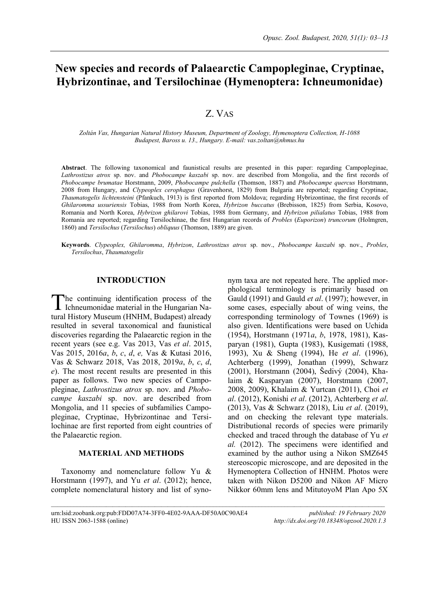# **New species and records of Palaearctic Campopleginae, Cryptinae, Hybrizontinae, and Tersilochinae (Hymenoptera: Ichneumonidae)**

# Z. VAS

*Zoltán Vas, Hungarian Natural History Museum, Department of Zoology, Hymenoptera Collection, H-1088 Budapest, Baross u. 13., Hungary. E-mail: vas.zoltan@nhmus.hu*

**Abstract**. The following taxonomical and faunistical results are presented in this paper: regarding Campopleginae, *Lathrostizus atrox* sp. nov. and *Phobocampe kaszabi* sp. nov. are described from Mongolia, and the first records of *Phobocampe brumatae* Horstmann, 2009, *Phobocampe pulchella* (Thomson, 1887) and *Phobocampe quercus* Horstmann, 2008 from Hungary, and *Clypeoplex cerophagus* (Gravenhorst, 1829) from Bulgaria are reported; regarding Cryptinae, *Thaumatogelis lichtensteini* (Pfankuch, 1913) is first reported from Moldova; regarding Hybrizontinae, the first records of *Ghilaromma ussuriensis* Tobias, 1988 from North Korea, *Hybrizon buccatus* (Brebisson, 1825) from Serbia, Kosovo, Romania and North Korea, *Hybrizon ghilarovi* Tobias, 1988 from Germany, and *Hybrizon pilialatus* Tobias, 1988 from Romania are reported; regarding Tersilochinae, the first Hungarian records of *Probles* (*Euporizon*) *truncorum* (Holmgren, 1860) and *Tersilochus* (*Tersilochus*) *obliquus* (Thomson, 1889) are given.

**Keywords**. *Clypeoplex, Ghilaromma*, *Hybrizon*, *Lathrostizus atrox* sp. nov., *Phobocampe kaszabi* sp. nov., *Probles*, *Tersilochus*, *Thaumatogelis*

 $\mathcal{L}_\text{max}$ 

### **INTRODUCTION**

he continuing identification process of the The continuing identification process of the<br>Ichneumonidae material in the Hungarian Natural History Museum (HNHM, Budapest) already resulted in several taxonomical and faunistical discoveries regarding the Palaearctic region in the recent years (see e.g. Vas 2013, Vas *et al*. 2015, Vas 2015, 2016*a*, *b*, *c*, *d*, *e,* Vas & Kutasi 2016, Vas & Schwarz 2018, Vas 2018, 2019*a*, *b*, *c*, *d*, *e*). The most recent results are presented in this paper as follows. Two new species of Campopleginae, *Lathrostizus atrox* sp. nov. and *Phobocampe kaszabi* sp. nov. are described from Mongolia, and 11 species of subfamilies Campopleginae, Cryptinae, Hybrizontinae and Tersilochinae are first reported from eight countries of the Palaearctic region.

### **MATERIAL AND METHODS**

Taxonomy and nomenclature follow Yu & Horstmann (1997), and Yu *et al*. (2012); hence, complete nomenclatural history and list of synonym taxa are not repeated here. The applied morphological terminology is primarily based on Gauld (1991) and Gauld *et al*. (1997); however, in some cases, especially about of wing veins, the corresponding terminology of Townes (1969) is also given. Identifications were based on Uchida (1954), Horstmann (1971*a*, *b*, 1978, 1981), Kasparyan (1981), Gupta (1983), Kusigemati (1988, 1993), Xu & Sheng (1994), He *et al*. (1996), Achterberg (1999), Jonathan (1999), Schwarz (2001), Horstmann (2004), Šedivý (2004), Khalaim & Kasparyan (2007), Horstmann (2007, 2008, 2009), Khalaim & Yurtcan (2011), Choi *et al*. (2012), Konishi *et al*. (2012), Achterberg *et al*. (2013), Vas & Schwarz (2018), Liu *et al*. (2019), and on checking the relevant type materials. Distributional records of species were primarily checked and traced through the database of Yu *et al.* (2012). The specimens were identified and examined by the author using a Nikon SMZ645 stereoscopic microscope, and are deposited in the Hymenoptera Collection of HNHM. Photos were taken with Nikon D5200 and Nikon AF Micro Nikkor 60mm lens and MitutoyoM Plan Apo 5X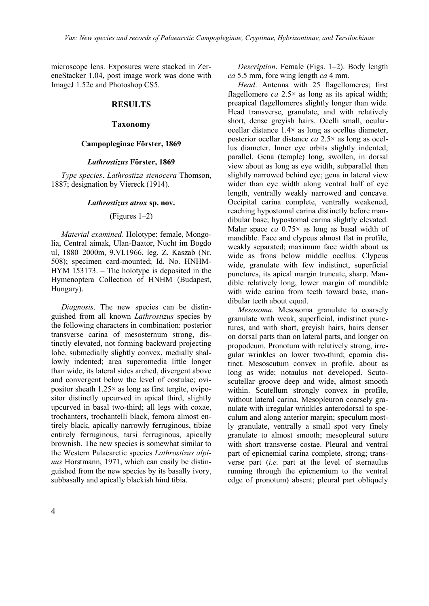microscope lens. Exposures were stacked in ZereneStacker 1.04, post image work was done with ImageJ 1.52c and Photoshop CS5.

# **RESULTS**

### **Taxonomy**

### **Campopleginae Förster, 1869**

### *Lathrostizus* **Förster, 1869**

*Type species*. *Lathrostiza stenocera* Thomson, 1887; designation by Viereck (1914).

### *Lathrostizus atrox* **sp. nov.**

### (Figures 1–2)

*Material examined*. Holotype: female, Mongolia, Central aimak, Ulan-Baator, Nucht im Bogdo ul, 1880–2000m, 9.VI.1966, leg. Z. Kaszab (Nr. 508); specimen card-mounted; Id. No. HNHM-HYM 153173. – The holotype is deposited in the Hymenoptera Collection of HNHM (Budapest, Hungary).

*Diagnosis*. The new species can be distinguished from all known *Lathrostizus* species by the following characters in combination: posterior transverse carina of mesosternum strong, distinctly elevated, not forming backward projecting lobe, submedially slightly convex, medially shallowly indented; area superomedia little longer than wide, its lateral sides arched, divergent above and convergent below the level of costulae; ovipositor sheath 1.25× as long as first tergite, ovipositor distinctly upcurved in apical third, slightly upcurved in basal two-third; all legs with coxae, trochanters, trochantelli black, femora almost entirely black, apically narrowly ferruginous, tibiae entirely ferruginous, tarsi ferruginous, apically brownish. The new species is somewhat similar to the Western Palaearctic species *Lathrostizus alpinus* Horstmann, 1971, which can easily be distinguished from the new species by its basally ivory, subbasally and apically blackish hind tibia.

*Description*. Female (Figs. 1–2). Body length *ca* 5.5 mm, fore wing length *ca* 4 mm.

*Head*. Antenna with 25 flagellomeres; first flagellomere *ca* 2.5× as long as its apical width; preapical flagellomeres slightly longer than wide. Head transverse, granulate, and with relatively short, dense greyish hairs. Ocelli small, ocularocellar distance 1.4× as long as ocellus diameter, posterior ocellar distance *ca* 2.5× as long as ocellus diameter. Inner eye orbits slightly indented, parallel. Gena (temple) long, swollen, in dorsal view about as long as eye width, subparallel then slightly narrowed behind eye; gena in lateral view wider than eye width along ventral half of eye length, ventrally weakly narrowed and concave. Occipital carina complete, ventrally weakened, reaching hypostomal carina distinctly before mandibular base; hypostomal carina slightly elevated. Malar space *ca* 0.75× as long as basal width of mandible. Face and clypeus almost flat in profile, weakly separated; maximum face width about as wide as frons below middle ocellus. Clypeus wide, granulate with few indistinct, superficial punctures, its apical margin truncate, sharp. Mandible relatively long, lower margin of mandible with wide carina from teeth toward base, mandibular teeth about equal.

*Mesosoma.* Mesosoma granulate to coarsely granulate with weak, superficial, indistinct punctures, and with short, greyish hairs, hairs denser on dorsal parts than on lateral parts, and longer on propodeum. Pronotum with relatively strong, irregular wrinkles on lower two-third; epomia distinct. Mesoscutum convex in profile, about as long as wide; notaulus not developed. Scutoscutellar groove deep and wide, almost smooth within. Scutellum strongly convex in profile, without lateral carina. Mesopleuron coarsely granulate with irregular wrinkles anterodorsal to speculum and along anterior margin; speculum mostly granulate, ventrally a small spot very finely granulate to almost smooth; mesopleural suture with short transverse costae. Pleural and ventral part of epicnemial carina complete, strong; transverse part (*i.e.* part at the level of sternaulus running through the epicnemium to the ventral edge of pronotum) absent; pleural part obliquely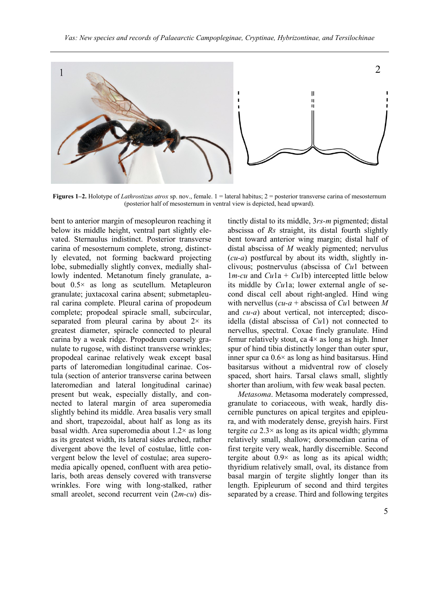

**Figures 1–2.** Holotype of *Lathrostizus atrox* sp. nov., female. 1 = lateral habitus; 2 = posterior transverse carina of mesosternum (posterior half of mesosternum in ventral view is depicted, head upward).

bent to anterior margin of mesopleuron reaching it below its middle height, ventral part slightly elevated. Sternaulus indistinct. Posterior transverse carina of mesosternum complete, strong, distinctly elevated, not forming backward projecting lobe, submedially slightly convex, medially shallowly indented. Metanotum finely granulate, about 0.5× as long as scutellum. Metapleuron granulate; juxtacoxal carina absent; submetapleural carina complete. Pleural carina of propodeum complete; propodeal spiracle small, subcircular, separated from pleural carina by about  $2 \times$  its greatest diameter, spiracle connected to pleural carina by a weak ridge. Propodeum coarsely granulate to rugose, with distinct transverse wrinkles; propodeal carinae relatively weak except basal parts of lateromedian longitudinal carinae. Costula (section of anterior transverse carina between lateromedian and lateral longitudinal carinae) present but weak, especially distally, and connected to lateral margin of area superomedia slightly behind its middle. Area basalis very small and short, trapezoidal, about half as long as its basal width. Area superomedia about  $1.2 \times$  as long as its greatest width, its lateral sides arched, rather divergent above the level of costulae, little convergent below the level of costulae; area superomedia apically opened, confluent with area petiolaris, both areas densely covered with transverse wrinkles. Fore wing with long-stalked, rather small areolet, second recurrent vein (2*m-cu*) distinctly distal to its middle, 3*rs-m* pigmented; distal abscissa of *Rs* straight, its distal fourth slightly bent toward anterior wing margin; distal half of distal abscissa of *M* weakly pigmented; nervulus (*cu-a*) postfurcal by about its width, slightly inclivous; postnervulus (abscissa of *Cu*1 between  $1m$ -*cu* and *Cu*1a + *Cu*1b) intercepted little below its middle by *Cu*1a; lower external angle of second discal cell about right-angled. Hind wing with nervellus (*cu-a* + abscissa of *Cu*1 between *M* and *cu-a*) about vertical, not intercepted; discoidella (distal abscissa of *Cu*1) not connected to nervellus, spectral. Coxae finely granulate. Hind femur relatively stout, ca  $4\times$  as long as high. Inner spur of hind tibia distinctly longer than outer spur, inner spur ca  $0.6 \times$  as long as hind basitarsus. Hind basitarsus without a midventral row of closely spaced, short hairs. Tarsal claws small, slightly shorter than arolium, with few weak basal pecten.

*Metasoma*. Metasoma moderately compressed, granulate to coriaceous, with weak, hardly discernible punctures on apical tergites and epipleura, and with moderately dense, greyish hairs. First tergite *ca* 2.3× as long as its apical width; glymma relatively small, shallow; dorsomedian carina of first tergite very weak, hardly discernible. Second tergite about  $0.9\times$  as long as its apical width; thyridium relatively small, oval, its distance from basal margin of tergite slightly longer than its length. Epipleurum of second and third tergites separated by a crease. Third and following tergites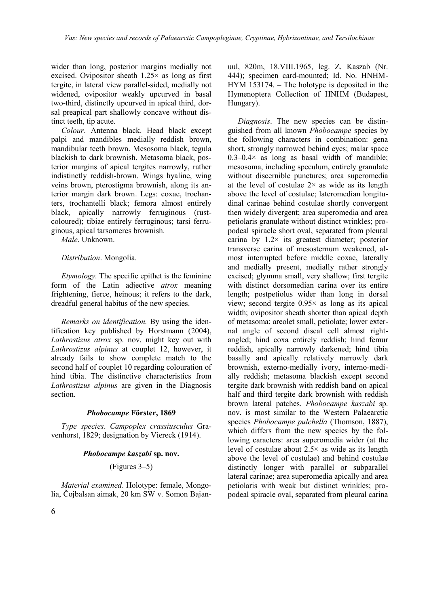wider than long, posterior margins medially not excised. Ovipositor sheath  $1.25 \times$  as long as first tergite, in lateral view parallel-sided, medially not widened, ovipositor weakly upcurved in basal two-third, distinctly upcurved in apical third, dorsal preapical part shallowly concave without distinct teeth, tip acute.

*Colour*. Antenna black. Head black except palpi and mandibles medially reddish brown, mandibular teeth brown. Mesosoma black, tegula blackish to dark brownish. Metasoma black, posterior margins of apical tergites narrowly, rather indistinctly reddish-brown. Wings hyaline, wing veins brown, pterostigma brownish, along its anterior margin dark brown. Legs: coxae, trochanters, trochantelli black; femora almost entirely black, apically narrowly ferruginous (rustcoloured); tibiae entirely ferruginous; tarsi ferruginous, apical tarsomeres brownish.

*Male*. Unknown.

### *Distribution*. Mongolia.

*Etymology.* The specific epithet is the feminine form of the Latin adjective *atrox* meaning frightening, fierce, heinous; it refers to the dark, dreadful general habitus of the new species.

*Remarks on identification.* By using the identification key published by Horstmann (2004), *Lathrostizus atrox* sp. nov. might key out with *Lathrostizus alpinus* at couplet 12, however, it already fails to show complete match to the second half of couplet 10 regarding colouration of hind tibia. The distinctive characteristics from *Lathrostizus alpinus* are given in the Diagnosis section.

### *Phobocampe* **Förster, 1869**

*Type species*. *Campoplex crassiusculus* Gravenhorst, 1829; designation by Viereck (1914).

### *Phobocampe kaszabi* **sp. nov.**

(Figures 3–5)

*Material examined*. Holotype: female, Mongolia, Čojbalsan aimak, 20 km SW v. Somon Bajanuul, 820m, 18.VIII.1965, leg. Z. Kaszab (Nr. 444); specimen card-mounted; Id. No. HNHM-HYM 153174. – The holotype is deposited in the Hymenoptera Collection of HNHM (Budapest, Hungary).

*Diagnosis*. The new species can be distinguished from all known *Phobocampe* species by the following characters in combination: gena short, strongly narrowed behind eyes; malar space  $0.3-0.4\times$  as long as basal width of mandible; mesosoma, including speculum, entirely granulate without discernible punctures; area superomedia at the level of costulae  $2 \times$  as wide as its length above the level of costulae; lateromedian longitudinal carinae behind costulae shortly convergent then widely divergent; area superomedia and area petiolaris granulate without distinct wrinkles; propodeal spiracle short oval, separated from pleural carina by 1.2× its greatest diameter; posterior transverse carina of mesosternum weakened, almost interrupted before middle coxae, laterally and medially present, medially rather strongly excised; glymma small, very shallow; first tergite with distinct dorsomedian carina over its entire length; postpetiolus wider than long in dorsal view; second tergite 0.95× as long as its apical width; ovipositor sheath shorter than apical depth of metasoma; areolet small, petiolate; lower external angle of second discal cell almost rightangled; hind coxa entirely reddish; hind femur reddish, apically narrowly darkened; hind tibia basally and apically relatively narrowly dark brownish, externo-medially ivory, interno-medially reddish; metasoma blackish except second tergite dark brownish with reddish band on apical half and third tergite dark brownish with reddish brown lateral patches. *Phobocampe kaszabi* sp. nov. is most similar to the Western Palaearctic species *Phobocampe pulchella* (Thomson, 1887), which differs from the new species by the following caracters: area superomedia wider (at the level of costulae about  $2.5\times$  as wide as its length above the level of costulae) and behind costulae distinctly longer with parallel or subparallel lateral carinae; area superomedia apically and area petiolaris with weak but distinct wrinkles; propodeal spiracle oval, separated from pleural carina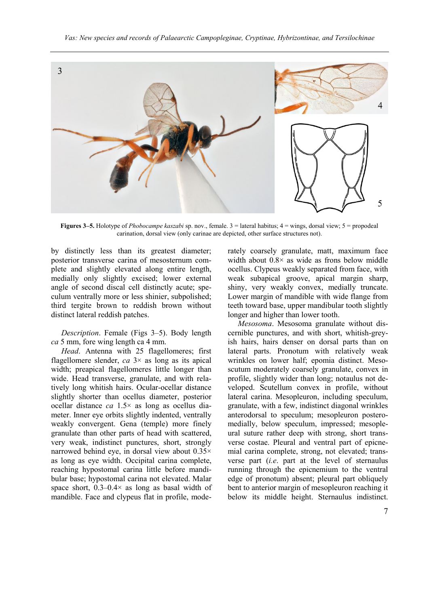

**Figures 3–5.** Holotype of *Phobocampe kaszabi* sp. nov., female. 3 = lateral habitus; 4 = wings, dorsal view; 5 = propodeal carination, dorsal view (only carinae are depicted, other surface structures not).

by distinctly less than its greatest diameter; posterior transverse carina of mesosternum complete and slightly elevated along entire length, medially only slightly excised; lower external angle of second discal cell distinctly acute; speculum ventrally more or less shinier, subpolished; third tergite brown to reddish brown without distinct lateral reddish patches.

*Description*. Female (Figs 3–5). Body length *ca* 5 mm, fore wing length ca 4 mm.

*Head*. Antenna with 25 flagellomeres; first flagellomere slender,  $ca \, 3 \times$  as long as its apical width; preapical flagellomeres little longer than wide. Head transverse, granulate, and with relatively long whitish hairs. Ocular-ocellar distance slightly shorter than ocellus diameter, posterior ocellar distance *ca* 1.5× as long as ocellus diameter. Inner eye orbits slightly indented, ventrally weakly convergent. Gena (temple) more finely granulate than other parts of head with scattered, very weak, indistinct punctures, short, strongly narrowed behind eye, in dorsal view about 0.35× as long as eye width. Occipital carina complete, reaching hypostomal carina little before mandibular base; hypostomal carina not elevated. Malar space short,  $0.3-0.4\times$  as long as basal width of mandible. Face and clypeus flat in profile, moderately coarsely granulate, matt, maximum face width about  $0.8 \times$  as wide as frons below middle ocellus. Clypeus weakly separated from face, with weak subapical groove, apical margin sharp, shiny, very weakly convex, medially truncate. Lower margin of mandible with wide flange from teeth toward base, upper mandibular tooth slightly longer and higher than lower tooth.

*Mesosoma*. Mesosoma granulate without discernible punctures, and with short, whitish-greyish hairs, hairs denser on dorsal parts than on lateral parts. Pronotum with relatively weak wrinkles on lower half; epomia distinct. Mesoscutum moderately coarsely granulate, convex in profile, slightly wider than long; notaulus not developed. Scutellum convex in profile, without lateral carina. Mesopleuron, including speculum, granulate, with a few, indistinct diagonal wrinkles anterodorsal to speculum; mesopleuron posteromedially, below speculum, impressed; mesopleural suture rather deep with strong, short transverse costae. Pleural and ventral part of epicnemial carina complete, strong, not elevated; transverse part (*i.e*. part at the level of sternaulus running through the epicnemium to the ventral edge of pronotum) absent; pleural part obliquely bent to anterior margin of mesopleuron reaching it below its middle height. Sternaulus indistinct.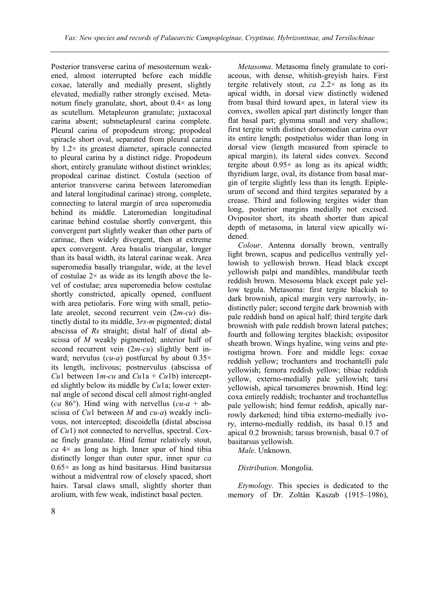Posterior transverse carina of mesosternum weakened, almost interrupted before each middle coxae, laterally and medially present, slightly elevated, medially rather strongly excised. Metanotum finely granulate, short, about 0.4× as long as scutellum. Metapleuron granulate; juxtacoxal carina absent; submetapleural carina complete. Pleural carina of propodeum strong; propodeal spiracle short oval, separated from pleural carina by  $1.2 \times$  its greatest diameter, spiracle connected to pleural carina by a distinct ridge. Propodeum short, entirely granulate without distinct wrinkles; propodeal carinae distinct. Costula (section of anterior transverse carina between lateromedian and lateral longitudinal carinae) strong, complete, connecting to lateral margin of area superomedia behind its middle. Lateromedian longitudinal carinae behind costulae shortly convergent, this convergent part slightly weaker than other parts of carinae, then widely divergent, then at extreme apex convergent. Area basalis triangular, longer than its basal width, its lateral carinae weak. Area superomedia basally triangular, wide, at the level of costulae  $2 \times$  as wide as its length above the level of costulae; area superomedia below costulae shortly constricted, apically opened, confluent with area petiolaris. Fore wing with small, petiolate areolet, second recurrent vein (2*m-cu*) distinctly distal to its middle, 3*rs-m* pigmented; distal abscissa of *Rs* straight; distal half of distal abscissa of *M* weakly pigmented; anterior half of second recurrent vein (2*m-cu*) slightly bent inward; nervulus (*cu-a*) postfurcal by about 0.35× its length, inclivous; postnervulus (abscissa of *Cu*1 between  $1m$ -*cu* and  $Cu1a + Cu1b$ ) intercepted slightly below its middle by *Cu*1a; lower external angle of second discal cell almost right-angled (*ca* 86°). Hind wing with nervellus (*cu-a* + abscissa of *Cu*1 between *M* and *cu-a*) weakly inclivous, not intercepted; discoidella (distal abscissa of *Cu*1) not connected to nervellus, spectral. Coxae finely granulate. Hind femur relatively stout, *ca* 4× as long as high. Inner spur of hind tibia distinctly longer than outer spur, inner spur *ca*  $0.65\times$  as long as hind basitarsus. Hind basitarsus without a midventral row of closely spaced, short hairs. Tarsal claws small, slightly shorter than arolium, with few weak, indistinct basal pecten.

*Metasoma*. Metasoma finely granulate to coriaceous, with dense, whitish-greyish hairs. First tergite relatively stout, *ca* 2.2× as long as its apical width, in dorsal view distinctly widened from basal third toward apex, in lateral view its convex, swollen apical part distinctly longer than flat basal part; glymma small and very shallow; first tergite with distinct dorsomedian carina over its entire length; postpetiolus wider than long in dorsal view (length measured from spiracle to apical margin), its lateral sides convex. Second tergite about  $0.95 \times$  as long as its apical width; thyridium large, oval, its distance from basal margin of tergite slightly less than its length. Epipleurum of second and third tergites separated by a crease. Third and following tergites wider than long, posterior margins medially not excised. Ovipositor short, its sheath shorter than apical depth of metasoma, in lateral view apically widened.

*Colour*. Antenna dorsally brown, ventrally light brown, scapus and pedicellus ventrally yellowish to yellowish brown. Head black except yellowish palpi and mandibles, mandibular teeth reddish brown. Mesosoma black except pale yellow tegula. Metasoma: first tergite blackish to dark brownish, apical margin very narrowly, indistinctly paler; second tergite dark brownish with pale reddish band on apical half; third tergite dark brownish with pale reddish brown lateral patches; fourth and following tergites blackish; ovipositor sheath brown. Wings hyaline, wing veins and pterostigma brown. Fore and middle legs: coxae reddish yellow; trochanters and trochantelli pale yellowish; femora reddish yellow; tibiae reddish yellow, externo-medially pale yellowish; tarsi yellowish, apical tarsomeres brownish. Hind leg: coxa entirely reddish; trochanter and trochantellus pale yellowish; hind femur reddish, apically narrowly darkened; hind tibia externo-medially ivory, interno-medially reddish, its basal 0.15 and apical 0.2 brownish; tarsus brownish, basal 0.7 of basitarsus yellowish.

*Male*. Unknown.

## *Distribution*. Mongolia.

*Etymology.* This species is dedicated to the memory of Dr. Zoltán Kaszab (1915–1986),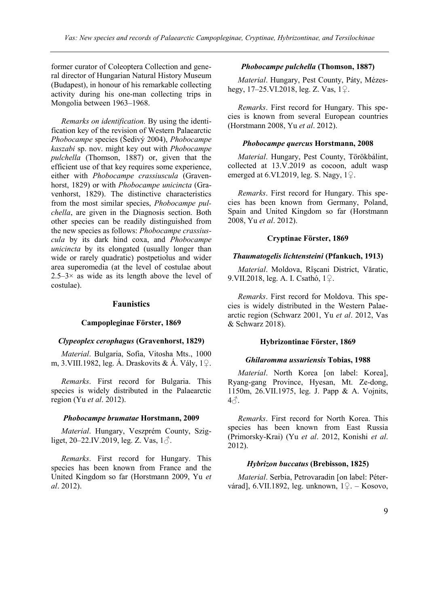former curator of Coleoptera Collection and general director of Hungarian Natural History Museum (Budapest), in honour of his remarkable collecting activity during his one-man collecting trips in Mongolia between 1963–1968.

*Remarks on identification.* By using the identification key of the revision of Western Palaearctic *Phobocampe* species (Šedivý 2004), *Phobocampe kaszabi* sp. nov. might key out with *Phobocampe pulchella* (Thomson, 1887) or, given that the efficient use of that key requires some experience, either with *Phobocampe crassiuscula* (Gravenhorst, 1829) or with *Phobocampe unicincta* (Gravenhorst, 1829). The distinctive characteristics from the most similar species, *Phobocampe pulchella*, are given in the Diagnosis section. Both other species can be readily distinguished from the new species as follows: *Phobocampe crassiuscula* by its dark hind coxa, and *Phobocampe unicincta* by its elongated (usually longer than wide or rarely quadratic) postpetiolus and wider area superomedia (at the level of costulae about  $2.5-3\times$  as wide as its length above the level of costulae).

## **Faunistics**

#### **Campopleginae Förster, 1869**

#### *Clypeoplex cerophagus* **(Gravenhorst, 1829)**

*Material*. Bulgaria, Sofia, Vitosha Mts., 1000 m, 3.VIII.1982, leg. Á. Draskovits & Á. Vály, 1♀.

*Remarks*. First record for Bulgaria. This species is widely distributed in the Palaearctic region (Yu *et al*. 2012).

#### *Phobocampe brumatae* **Horstmann, 2009**

*Material*. Hungary, Veszprém County, Szigliget, 20–22.IV.2019, leg. Z. Vas,  $1\delta$ .

*Remarks*. First record for Hungary. This species has been known from France and the United Kingdom so far (Horstmann 2009, Yu *et al*. 2012).

#### *Phobocampe pulchella* **(Thomson, 1887)**

*Material*. Hungary, Pest County, Páty, Mézeshegy, 17–25.VI.2018, leg. Z. Vas, 1♀.

*Remarks*. First record for Hungary. This species is known from several European countries (Horstmann 2008, Yu *et al*. 2012).

#### *Phobocampe quercus* **Horstmann, 2008**

*Material*. Hungary, Pest County, Törökbálint, collected at 13.V.2019 as cocoon, adult wasp emerged at 6.VI.2019, leg. S. Nagy,  $1\degree$ .

*Remarks*. First record for Hungary. This species has been known from Germany, Poland, Spain and United Kingdom so far (Horstmann 2008, Yu *et al*. 2012).

### **Cryptinae Förster, 1869**

#### *Thaumatogelis lichtensteini* **(Pfankuch, 1913)**

*Material*. Moldova, Rîşcani District, Văratic, 9.VII.2018, leg. A. I. Csathó, 1♀.

*Remarks*. First record for Moldova. This species is widely distributed in the Western Palaearctic region (Schwarz 2001, Yu *et al*. 2012, Vas & Schwarz 2018).

#### **Hybrizontinae Förster, 1869**

#### *Ghilaromma ussuriensis* **Tobias, 1988**

*Material*. North Korea [on label: Korea], Ryang-gang Province, Hyesan, Mt. Ze-dong, 1150m, 26.VII.1975, leg. J. Papp & A. Vojnits,  $4\delta$ .

*Remarks*. First record for North Korea. This species has been known from East Russia (Primorsky-Krai) (Yu *et al*. 2012, Konishi *et al*. 2012).

#### *Hybrizon buccatus* **(Brebisson, 1825)**

*Material*. Serbia, Petrovaradin [on label: Pétervárad], 6.VII.1892, leg. unknown, 1♀. – Kosovo,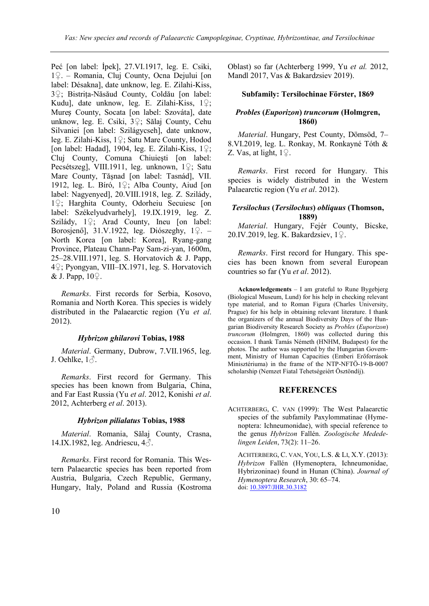Peć [on label: İpek], 27.VI.1917, leg. E. Csiki, 1♀. – Romania, Cluj County, Ocna Dejului [on label: Désakna], date unknow, leg. E. Zilahi-Kiss, 3♀; Bistriţa-Năsăud County, Coldău [on label: Kudu], date unknow, leg. E. Zilahi-Kiss, 1♀; Mureș County, Socata [on label: Szováta], date unknow, leg. E. Csiki, 3♀; Sălaj County, Cehu Silvaniei [on label: Szilágycseh], date unknow, leg. E. Zilahi-Kiss, 1♀; Satu Mare County, Hodod [on label: Hadad], 1904, leg. E. Zilahi-Kiss,  $1\degree$ ; Cluj County, Comuna Chiuieşti [on label: Pecsétszeg], VIII.1911, leg. unknown, 1♀; Satu Mare County, Tăşnad [on label: Tasnád], VII. 1912, leg. L. Bíró, 1♀; Alba County, Aiud [on label: Nagyenyed], 20.VIII.1918, leg. Z. Szilády, 1♀; Harghita County, Odorheiu Secuiesc [on label: Székelyudvarhely], 19.IX.1919, leg. Z. Szilády, 1♀; Arad County, Ineu [on label: Borosjenő], 31.V.1922, leg. Diószeghy, 1♀. – North Korea [on label: Korea], Ryang-gang Province, Plateau Chann-Pay Sam-zi-yan, 1600m, 25–28.VIII.1971, leg. S. Horvatovich & J. Papp, 4♀; Pyongyan, VIII–IX.1971, leg. S. Horvatovich & J. Papp,  $10\degree$ .

*Remarks*. First records for Serbia, Kosovo, Romania and North Korea. This species is widely distributed in the Palaearctic region (Yu *et al*. 2012).

## *Hybrizon ghilarovi* **Tobias, 1988**

*Material*. Germany, Dubrow, 7.VII.1965, leg. J. Oehlke,  $1\delta$ .

*Remarks*. First record for Germany. This species has been known from Bulgaria, China, and Far East Russia (Yu *et al*. 2012, Konishi *et al*. 2012, Achterberg *et al*. 2013).

## *Hybrizon pilialatus* **Tobias, 1988**

*Material*. Romania, Sălaj County, Crasna, 14.IX.1982, leg. Andriescu, 4♂.

*Remarks*. First record for Romania. This Western Palaearctic species has been reported from Austria, Bulgaria, Czech Republic, Germany, Hungary, Italy, Poland and Russia (Kostroma Oblast) so far (Achterberg 1999, Yu *et al.* 2012, Mandl 2017, Vas & Bakardzsiev 2019).

# **Subfamily: Tersilochinae Förster, 1869**

# *Probles* **(***Euporizon***)** *truncorum* **(Holmgren, 1860)**

*Material*. Hungary, Pest County, Dömsöd, 7– 8.VI.2019, leg. L. Ronkay, M. Ronkayné Tóth & Z. Vas, at light, 1♀.

*Remarks*. First record for Hungary. This species is widely distributed in the Western Palaearctic region (Yu *et al*. 2012).

# *Tersilochus* **(***Tersilochus***)** *obliquus* **(Thomson, 1889)**

*Material*. Hungary, Fejér County, Bicske, 20.IV.2019, leg. K. Bakardzsiev, 1♀.

*Remarks*. First record for Hungary. This species has been known from several European countries so far (Yu *et al*. 2012).

**Acknowledgements** – I am grateful to Rune Bygebjerg (Biological Museum, Lund) for his help in checking relevant type material, and to Roman Figura (Charles University, Prague) for his help in obtaining relevant literature. I thank the organizers of the annual Biodiversity Days of the Hungarian Biodiversity Research Society as *Probles* (*Euporizon*) *truncorum* (Holmgren, 1860) was collected during this occasion. I thank Tamás Németh (HNHM, Budapest) for the photos. The author was supported by the Hungarian Government, Ministry of Human Capacities (Emberi Erőforrások Minisztériuma) in the frame of the NTP-NFTÖ-19-B-0007 scholarship (Nemzet Fiatal Tehetségeiért Ösztöndíj).

# **REFERENCES**

ACHTERBERG, C. VAN (1999): The West Palaearctic species of the subfamily Paxylommatinae (Hymenoptera: Ichneumonidae), with special reference to the genus *Hybrizon* Fallén. *Zoologische Mededelingen Leiden*, 73(2): 11–26.

ACHTERBERG, C. VAN, YOU, L.S. & LI, X.Y. (2013): *Hybrizon* Fallén (Hymenoptera, Ichneumonidae, Hybrizoninae) found in Hunan (China). *Journal of Hymenoptera Research*, 30: 65–74. doi[: 10.3897/JHR.30.3182](http://dx.doi.org/10.3897/JHR.30.3182)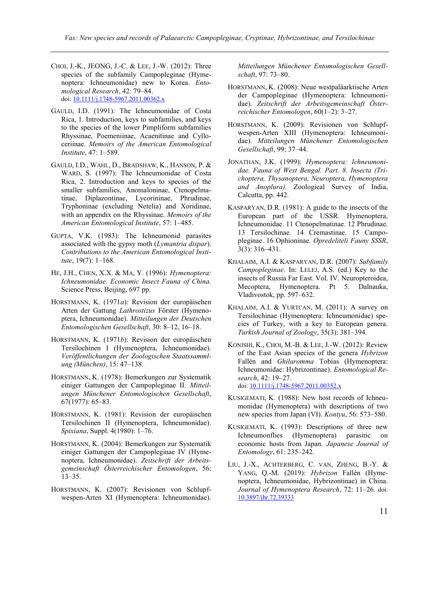- CHOI, J.-K., JEONG, J.-C. & LEE, J.-W. (2012): Three species of the subfamily Campopleginae (Hymenoptera: Ichneumonidae) new to Korea. *Entomological Research*, 42: 79–84. doi[: 10.1111/j.1748-5967.2011.00362.x](http://dx.doi.org/10.1111/j.1748-5967.2011.00362.x)
- GAULD, I.D. (1991): The Ichneumonidae of Costa Rica, 1. Introduction, keys to subfamilies, and keys to the species of the lower Pimpliform subfamilies Rhyssinae, Poemeniinae, Acaenitinae and Cylloceriinae. *Memoirs of the American Entomological Institute*, 47: 1–589.
- GAULD, I.D., WAHL, D., BRADSHAW, K., HANSON, P. & WARD, S. (1997): The Ichneumonidae of Costa Rica, 2. Introduction and keys to species of the smaller subfamilies, Anomaloninae, Ctenopelmatinae, Diplazontinae, Lycorininae, Phrudinae, Tryphoninae (excluding Netelia) and Xoridinae, with an appendix on the Rhyssinae. *Memoirs of the American Entomological Institute*, 57: 1–485.
- GUPTA, V.K. (1983): The Ichneumonid parasites associated with the gypsy moth (*Lymantria dispar*). *Contributions to the American Entomological Institute*, 19(7): 1–168.
- HE, J.H., CHEN, X.X. & MA, Y. (1996): *Hymenoptera: Ichneumonidae. Economic Insect Fauna of China.* Science Press, Beijing, 697 pp.
- HORSTMANN, K. (1971*a*): Revision der europäischen Arten der Gattung *Lathrostizus* Förster (Hymenoptera, Ichneumonidae). *Mitteilungen der Deutschen Entomologischen Gesellschaft*, 30: 8–12, 16–18.
- HORSTMANN, K. (1971*b*): Revision der europäischen Tersilochinen I (Hymenoptera, Ichneumonidae). *Veröffentlichungen der Zoologischen Staatssammlung (München)*, 15: 47–138.
- HORSTMANN, K. (1978): Bemerkungen zur Systematik einiger Gattungen der Campopleginae II. *Mitteilungen Münchener Entomologischen Gesellschaft*, 67(1977): 65–83.
- HORSTMANN, K. (1981): Revision der europäischen Tersilochinen II (Hymenoptera, Ichneumonidae). *Spixiana*, Suppl. 4(1980): 1–76.
- HORSTMANN, K. (2004): Bemerkungen zur Systematik einiger Gattungen der Campopleginae IV (Hymenoptera, Ichneumonidae). *Zeitschrift der Arbeitsgemeinschaft Österreichischer Entomologen*, 56: 13–35.
- HORSTMANN, K. (2007): Revisionen von Schlupfwespen-Arten XI (Hymenoptera: Ichneumonidae).

*Mitteilungen Münchener Entomologischen Gesellschaft*, 97: 73–80.

- HORSTMANN, K. (2008): Neue westpaläarktische Arten der Campopleginae (Hymenoptera: Ichneumonidae). *Zeitschrift der Arbeitsgemeinschaft Österreichischer Entomologen*, 60(1–2): 3–27.
- HORSTMANN, K. (2009): Revisionen von Schlupfwespen-Arten XIII (Hymenoptera: Ichneumonidae). *Mitteilungen Münchener Entomologischen Gesellschaft*, 99: 37–44.
- JONATHAN, J.K. (1999): *Hymenoptera: Ichneumonidae. Fauna of West Bengal. Part. 8. Insecta (Trichoptera, Thysanoptera, Neuroptera, Hymenoptera and Anoplura)*. Zoological Survey of India, Calcutta, pp. 442.
- KASPARYAN, D.R. (1981): A guide to the insects of the European part of the USSR. Hymenoptera, Ichneumonidae. 11 Ctenopelmatinae. 12 Phrudinae. 13 Tersilochinae. 14 Cremastinae. 15 Campopleginae. 16 Ophioninae. *Opredeliteli Fauny SSSR*, 3(3): 316–431.
- KHALAIM, A.I. & KASPARYAN, D.R. (2007): *Subfamily Campopleginae*. In: LELEJ, A.S. (ed.) Key to the insects of Russia Far East. Vol. IV. Neuropteroidea, Mecoptera, Hymenoptera. Pt 5. Dalnauka, Vladivostok, pp. 597–632.
- KHALAIM, A.I. & YURTCAN, M. (2011): A survey on Tersilochinae (Hymenoptera: Ichneumonidae) species of Turkey, with a key to European genera. *Turkish Journal of Zoology*, 35(3): 381–394.
- KONISHI, K., CHOI, M.-B. & LEE, J.-W. (2012): Review of the East Asian species of the genera *Hybrizon* Fallén and *Ghilaromma* Tobias (Hymenoptera: Ichneumonidae: Hybrizontinae). *Entomological Research*, 42: 19–27. doi[: 10.1111/j.1748-5967.2011.00352.x](http://dx.doi.org/10.1111/j.1748-5967.2011.00352.x)
- KUSIGEMATI, K. (1988): New host records of Ichneumonidae (Hymenoptera) with descriptions of two new species from Japan (VI). *Kontyu*, 56: 573–580.
- KUSIGEMATI, K. (1993): Descriptions of three new Ichneumonflies (Hymenoptera) parasitic on economic hosts from Japan. *Japanese Journal of Entomology*, 61: 235–242.
- LIU, J.-X., ACHTERBERG, C. VAN, ZHENG, B.-Y. & YANG, Q.-M. (2019): *Hybrizon* Fallén (Hymenoptera, Ichneumonidae, Hybrizontinae) in China. *Journal of Hymenoptera Research*, 72: 11–26. doi: [10.3897/jhr.72.39333](http://dx.doi.org/10.3897/jhr.72.39333)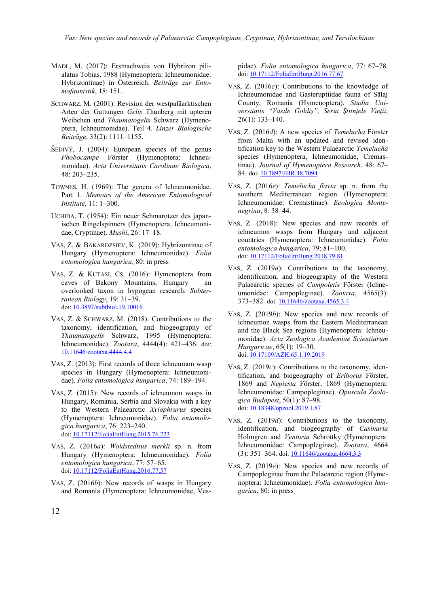- MADL, M. (2017): Erstnachweis von Hybrizon pilialatus Tobias, 1988 (Hymenoptera: Ichneumonidae: Hybrizontinae) in Österreich. *Beiträge zur Entomofaunistik*, 18: 151.
- SCHWARZ, M. (2001): Revision der westpaläarktischen Arten der Gattungen *Gelis* Thunberg mit apteren Weibchen und *Thaumatogelis* Schwarz (Hymenoptera, Ichneumonidae). Teil 4. *Linzer Biologische Beiträge*, 33(2): 1111–1155.
- $\text{ŠEDIVY}, \text{J. (2004): European species of the genus}$ *Phobocampe* Förster (Hymenoptera: Ichneumonidae). *Acta Universitatis Carolinae Biologica*, 48: 203–235.
- TOWNES, H. (1969): The genera of Ichneumonidae. Part 1. *Memoirs of the American Entomological Institute*, 11: 1–300.
- UCHIDA, T. (1954): Ein neuer Schmarotzer des japanischen Ringelspinners (Hymenoptera, Ichneumonidae, Cryptinae). *Mushi*, 26: 17–18.
- VAS, Z. & BAKARDZSIEV, K. (2019): Hybrizontinae of Hungary (Hymenoptera: Ichneumonidae). *Folia entomologica hungarica*, 80: in press
- VAS, Z. & KUTASI, CS. (2016): Hymenoptera from caves of Bakony Mountains, Hungary – an overlooked taxon in hypogean research. *Subterranean Biology*, 19: 31–39. doi[: 10.3897/subtbiol.19.10016](http://dx.doi.org/10.3897/subtbiol.19.10016)
- VAS, Z. & SCHWARZ, M. (2018): Contributions to the taxonomy, identification, and biogeography of *Thaumatogelis* Schwarz, 1995 (Hymenoptera: Ichneumonidae). *Zootaxa*, 4444(4): 421–436. doi: [10.11646/zootaxa.4444.4.4](http://dx.doi.org/10.11646/zootaxa.4444.4.4)
- VAS, Z. (2013): First records of three ichneumon wasp species in Hungary (Hymenoptera: Ichneumonidae). *Folia entomologica hungarica*, 74: 189–194.
- VAS, Z. (2015): New records of ichneumon wasps in Hungary, Romania, Serbia and Slovakia with a key to the Western Palaearctic *Xylophrurus* species (Hymenoptera: Ichneumonidae). *Folia entomologica hungarica*, 76: 223–240. doi[: 10.17112/FoliaEntHung.2015.76.223](http://dx.doi.org/10.17112/FoliaEntHung.2015.76.223)
- VAS, Z. (2016*a*): *Woldstedtius merkli* sp. n. from Hungary (Hymenoptera: Ichneumonidae). *Folia entomologica hungarica*, 77: 57–65. doi[: 10.17112/FoliaEntHung.2016.77.57](http://dx.doi.org/10.17112/FoliaEntHung.2016.77.57)
- VAS, Z. (2016*b*): New records of wasps in Hungary and Romania (Hymenoptera: Ichneumonidae, Ves-

pidae). *Folia entomologica hungarica*, 77: 67–78. doi[: 10.17112/FoliaEntHung.2016.77.67](http://dx.doi.org/10.17112/FoliaEntHung.2016.77.67)

- VAS, Z. (2016*c*): Contributions to the knowledge of Ichneumonidae and Gasteruptiidae fauna of Sălaj County, Romania (Hymenoptera). *Studia Universitatis "Vasile Goldiş", Seria Ştiinţele Vieţii*, 26(1): 133–140.
- VAS, Z. (2016*d*): A new species of *Temelucha* Förster from Malta with an updated and revised identification key to the Western Palaearctic *Temelucha* species (Hymenoptera, Ichneumonidae, Cremastinae). *Journal of Hymenoptera Research*, 48: 67– 84. doi[: 10.3897/JHR.48.7094](http://dx.doi.org/10.3897/JHR.48.7094)
- VAS, Z. (2016*e*): *Temelucha flavia* sp. n. from the southern Mediterranean region (Hymenoptera: Ichneumonidae: Cremastinae). *Ecologica Montenegrina*, 8: 38–44.
- VAS, Z. (2018): New species and new records of ichneumon wasps from Hungary and adjacent countries (Hymenoptera: Ichneumonidae). *Folia entomologica hungarica*, 79: 81–100. doi: [10.17112/FoliaEntHung.2018.79.81](http://dx.doi.org/10.17112/FoliaEntHung.2018.79.81)
- VAS, Z. (2019*a*): Contributions to the taxonomy, identification, and biogeography of the Western Palaearctic species of *Campoletis* Förster (Ichneumonidae: Campopleginae). *Zootaxa*, 4565(3): 373–382. doi[: 10.11646/zootaxa.4565.3.4](http://dx.doi.org/10.11646/zootaxa.4565.3.4)
- VAS, Z. (2019*b*): New species and new records of ichneumon wasps from the Eastern Mediterranean and the Black Sea regions (Hymenoptera: Ichneumonidae). *Acta Zoologica Academiae Scientiarum Hungaricae*, 65(1): 19–30. doi[: 10.17109/AZH.65.1.19.2019](http://dx.doi.org/10.17109/AZH.65.1.19.2019)
- VAS, Z. (2019*c*): Contributions to the taxonomy, identification, and biogeography of *Eriborus* Förster, 1869 and *Nepiesta* Förster, 1869 (Hymenoptera: Ichneumonidae: Campopleginae). *Opuscula Zoologica Budapest*, 50(1): 87–98. doi: [10.18348/opzool.2019.1.87](http://dx.doi.org/10.18348/opzool.2019.1.87)
- VAS, Z. (2019*d*): Contributions to the taxonomy, identification, and biogeography of *Casinaria* Holmgren and *Venturia* Schrottky (Hymenoptera: Ichneumonidae: Campopleginae). *Zootaxa*, 4664 (3): 351–364. doi[: 10.11646/zootaxa.4664.3.3](http://dx.doi.org/10.11646/zootaxa.4664.3.3)
- VAS, Z. (2019*e*): New species and new records of Campopleginae from the Palaearctic region (Hymenoptera: Ichneumonidae). *Folia entomologica hungarica*, 80: in press